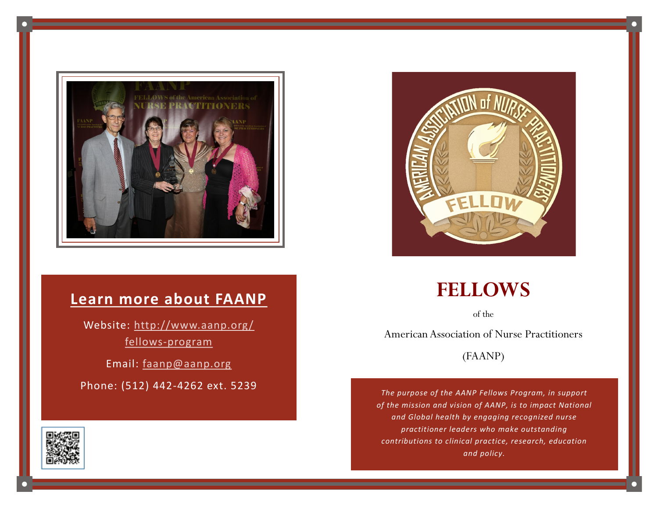

#### **Learn more about FAANP**

Website: [http://www.aanp.org/](http://www.aanp.org/fellows-program) fellows-[program](http://www.aanp.org/fellows-program)

Email: [faanp@aanp.org](mailto:faanp@aanp.org)

Phone: (512) 442-4262 ext. 5239





# **FELLOWS**

of the

American Association of Nurse Practitioners

(FAANP)

*The purpose of the AANP Fellows Program, in support of the mission and vision of AANP, is to impact National and Global health by engaging recognized nurse practitioner leaders who make outstanding contributions to clinical practice, research, education and policy.*